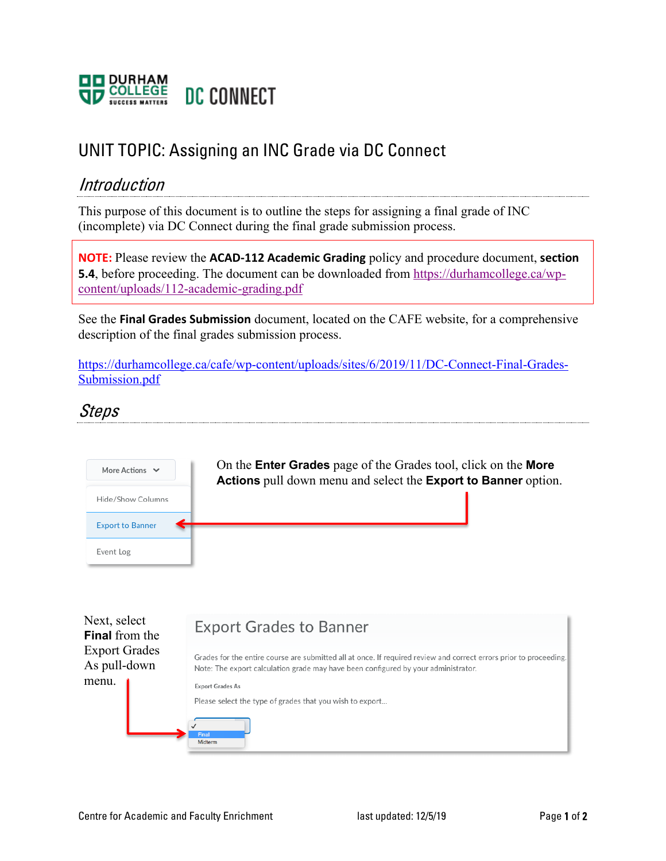

## UNIT TOPIC: Assigning an INC Grade via DC Connect

## Introduction

This purpose of this document is to outline the steps for assigning a final grade of INC (incomplete) via DC Connect during the final grade submission process.

**NOTE:** Please review the **ACAD-112 Academic Grading** policy and procedure document, **section 5.4**, before proceeding. The document can be downloaded from https://durhamcollege.ca/wpcontent/uploads/112-academic-grading.pdf

See the **Final Grades Submission** document, located on the CAFE website, for a comprehensive description of the final grades submission process.

https://durhamcollege.ca/cafe/wp-content/uploads/sites/6/2019/11/DC-Connect-Final-Grades-Submission.pdf

## Steps



| Next, select<br><b>Final</b> from the | <b>Export Grades to Banner</b>                                                                                                                                                                           |  |  |  |  |
|---------------------------------------|----------------------------------------------------------------------------------------------------------------------------------------------------------------------------------------------------------|--|--|--|--|
| <b>Export Grades</b><br>As pull-down  | Grades for the entire course are submitted all at once. If required review and correct errors prior to proceeding.<br>Note: The export calculation grade may have been configured by your administrator. |  |  |  |  |
| menu.                                 | <b>Export Grades As</b><br>Please select the type of grades that you wish to export<br>Final                                                                                                             |  |  |  |  |
|                                       | Midterm                                                                                                                                                                                                  |  |  |  |  |